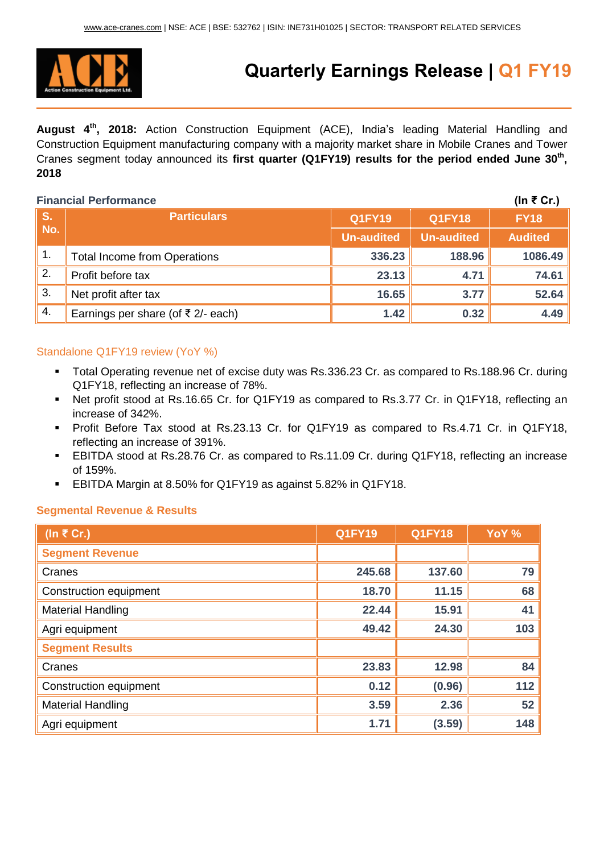

# **Quarterly Earnings Release | Q1 FY19**

**August 4 th, 2018:** Action Construction Equipment (ACE), India's leading Material Handling and Construction Equipment manufacturing company with a majority market share in Mobile Cranes and Tower Cranes segment today announced its **first quarter (Q1FY19) results for the period ended June 30 th , 2018**

### **Financial Performance (In ₹ Cr.)**

|                  |                                      |                   |                   | .              |
|------------------|--------------------------------------|-------------------|-------------------|----------------|
| S.               | <b>Particulars</b>                   | <b>Q1FY19</b>     | <b>Q1FY18</b>     | <b>FY18</b>    |
| No.              |                                      | <b>Un-audited</b> | <b>Un-audited</b> | <b>Audited</b> |
| $\overline{1}$ . | <b>Total Income from Operations</b>  | 336.23            | 188.96            | 1086.49        |
| 2.               | Profit before tax                    | 23.13             | 4.71              | 74.61          |
| 3.               | Net profit after tax                 | 16.65             | 3.77              | 52.64          |
| 4.               | Earnings per share (of ₹ $2/-$ each) | 1.42              | 0.32              | 4.49           |

## Standalone Q1FY19 review (YoY %)

- Total Operating revenue net of excise duty was Rs.336.23 Cr. as compared to Rs.188.96 Cr. during Q1FY18, reflecting an increase of 78%.
- Net profit stood at Rs.16.65 Cr. for Q1FY19 as compared to Rs.3.77 Cr. in Q1FY18, reflecting an increase of 342%.
- Profit Before Tax stood at Rs.23.13 Cr. for Q1FY19 as compared to Rs.4.71 Cr. in Q1FY18, reflecting an increase of 391%.
- EBITDA stood at Rs.28.76 Cr. as compared to Rs.11.09 Cr. during Q1FY18, reflecting an increase of 159%.
- EBITDA Margin at 8.50% for Q1FY19 as against 5.82% in Q1FY18.

#### **Segmental Revenue & Results**

| (In $\overline{\epsilon}$ Cr.) | $Q1$ FY19 | <b>Q1FY18</b> | YoY % |
|--------------------------------|-----------|---------------|-------|
| <b>Segment Revenue</b>         |           |               |       |
| Cranes                         | 245.68    | 137.60        | 79    |
| <b>Construction equipment</b>  | 18.70     | 11.15         | 68    |
| <b>Material Handling</b>       | 22.44     | 15.91         | 41    |
| Agri equipment                 | 49.42     | 24.30         | 103   |
| <b>Segment Results</b>         |           |               |       |
| Cranes                         | 23.83     | 12.98         | 84    |
| Construction equipment         | 0.12      | (0.96)        | 112   |
| <b>Material Handling</b>       | 3.59      | 2.36          | 52    |
| Agri equipment                 | 1.71      | (3.59)        | 148   |